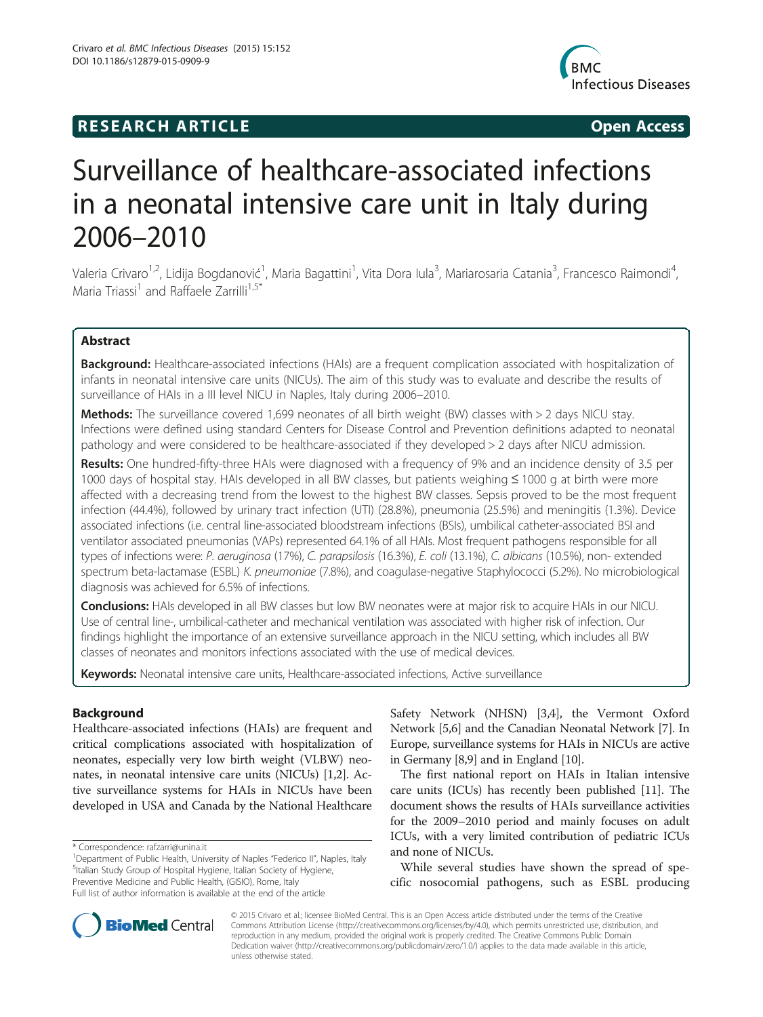# **RESEARCH ARTICLE Example 2014 CONSIDERING CONSIDERING CONSIDERING CONSIDERING CONSIDERING CONSIDERING CONSIDERING CONSIDERING CONSIDERING CONSIDERING CONSIDERING CONSIDERING CONSIDERING CONSIDERING CONSIDERING CONSIDE**



# Surveillance of healthcare-associated infections in a neonatal intensive care unit in Italy during 2006–2010

Valeria Crivaro<sup>1,2</sup>, Lidija Bogdanović<sup>1</sup>, Maria Bagattini<sup>1</sup>, Vita Dora Iula<sup>3</sup>, Mariarosaria Catania<sup>3</sup>, Francesco Raimondi<sup>4</sup> , Maria Triassi<sup>1</sup> and Raffaele Zarrilli<sup>1,5\*</sup>

# Abstract

Background: Healthcare-associated infections (HAIs) are a frequent complication associated with hospitalization of infants in neonatal intensive care units (NICUs). The aim of this study was to evaluate and describe the results of surveillance of HAIs in a III level NICU in Naples, Italy during 2006–2010.

Methods: The surveillance covered 1,699 neonates of all birth weight (BW) classes with > 2 days NICU stay. Infections were defined using standard Centers for Disease Control and Prevention definitions adapted to neonatal pathology and were considered to be healthcare-associated if they developed > 2 days after NICU admission.

Results: One hundred-fifty-three HAIs were diagnosed with a frequency of 9% and an incidence density of 3.5 per 1000 days of hospital stay. HAIs developed in all BW classes, but patients weighing ≤ 1000 g at birth were more affected with a decreasing trend from the lowest to the highest BW classes. Sepsis proved to be the most frequent infection (44.4%), followed by urinary tract infection (UTI) (28.8%), pneumonia (25.5%) and meningitis (1.3%). Device associated infections (i.e. central line-associated bloodstream infections (BSIs), umbilical catheter-associated BSI and ventilator associated pneumonias (VAPs) represented 64.1% of all HAIs. Most frequent pathogens responsible for all types of infections were: P. aeruginosa (17%), C. parapsilosis (16.3%), E. coli (13.1%), C. albicans (10.5%), non- extended spectrum beta-lactamase (ESBL) K. pneumoniae (7.8%), and coagulase-negative Staphylococci (5.2%). No microbiological diagnosis was achieved for 6.5% of infections.

Conclusions: HAIs developed in all BW classes but low BW neonates were at major risk to acquire HAIs in our NICU. Use of central line-, umbilical-catheter and mechanical ventilation was associated with higher risk of infection. Our findings highlight the importance of an extensive surveillance approach in the NICU setting, which includes all BW classes of neonates and monitors infections associated with the use of medical devices.

Keywords: Neonatal intensive care units, Healthcare-associated infections, Active surveillance

# Background

Healthcare-associated infections (HAIs) are frequent and critical complications associated with hospitalization of neonates, especially very low birth weight (VLBW) neonates, in neonatal intensive care units (NICUs) [[1,2](#page-6-0)]. Active surveillance systems for HAIs in NICUs have been developed in USA and Canada by the National Healthcare

\* Correspondence: [rafzarri@unina.it](mailto:rafzarri@unina.it) <sup>1</sup>

<sup>1</sup>Department of Public Health, University of Naples "Federico II", Naples, Italy <sup>5</sup>Italian Study Group of Hospital Hygiene, Italian Society of Hygiene, Preventive Medicine and Public Health, (GISIO), Rome, Italy Full list of author information is available at the end of the article

Safety Network (NHSN) [\[3,4](#page-6-0)], the Vermont Oxford Network [[5,6](#page-6-0)] and the Canadian Neonatal Network [\[7\]](#page-6-0). In Europe, surveillance systems for HAIs in NICUs are active in Germany [[8,9\]](#page-6-0) and in England [\[10\]](#page-6-0).

The first national report on HAIs in Italian intensive care units (ICUs) has recently been published [[11](#page-6-0)]. The document shows the results of HAIs surveillance activities for the 2009–2010 period and mainly focuses on adult ICUs, with a very limited contribution of pediatric ICUs and none of NICUs.

While several studies have shown the spread of specific nosocomial pathogens, such as ESBL producing



© 2015 Crivaro et al.; licensee BioMed Central. This is an Open Access article distributed under the terms of the Creative Commons Attribution License [\(http://creativecommons.org/licenses/by/4.0\)](http://creativecommons.org/licenses/by/4.0), which permits unrestricted use, distribution, and reproduction in any medium, provided the original work is properly credited. The Creative Commons Public Domain Dedication waiver [\(http://creativecommons.org/publicdomain/zero/1.0/](http://creativecommons.org/publicdomain/zero/1.0/)) applies to the data made available in this article, unless otherwise stated.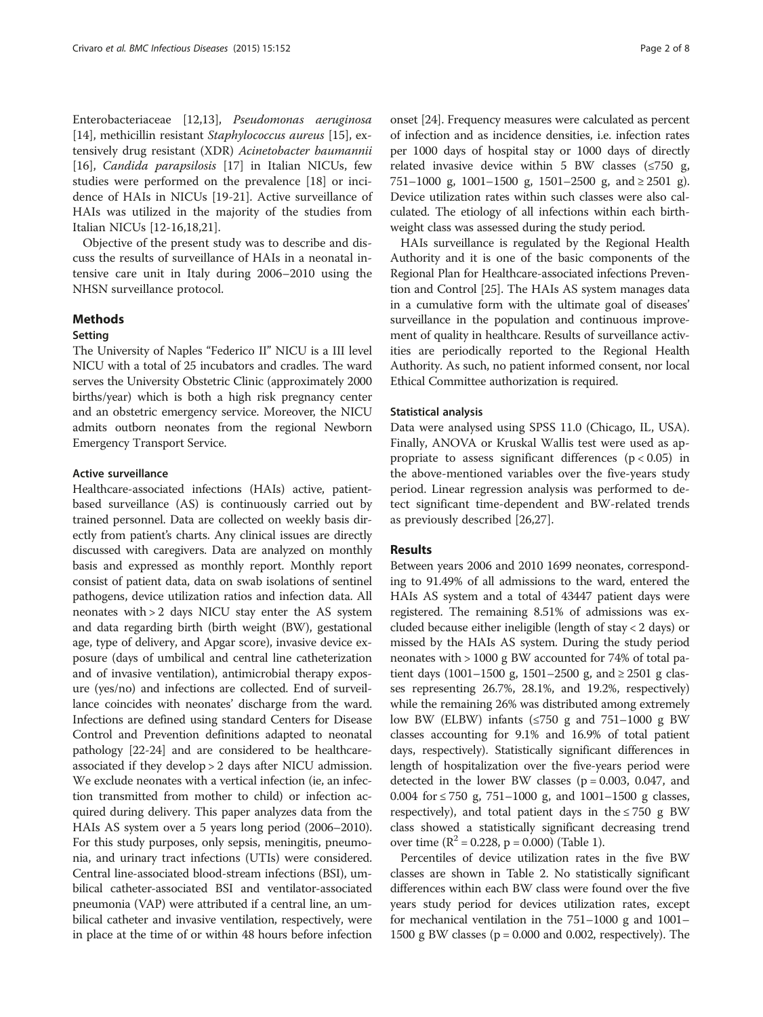Enterobacteriaceae [[12,13\]](#page-6-0), Pseudomonas aeruginosa [[14\]](#page-6-0), methicillin resistant Staphylococcus aureus [[15](#page-6-0)], extensively drug resistant (XDR) Acinetobacter baumannii [[16\]](#page-6-0), Candida parapsilosis [\[17](#page-6-0)] in Italian NICUs, few studies were performed on the prevalence [[18\]](#page-6-0) or incidence of HAIs in NICUs [[19-21\]](#page-6-0). Active surveillance of HAIs was utilized in the majority of the studies from Italian NICUs [[12-16,18,21](#page-6-0)].

Objective of the present study was to describe and discuss the results of surveillance of HAIs in a neonatal intensive care unit in Italy during 2006–2010 using the NHSN surveillance protocol.

# Methods

### Setting

The University of Naples "Federico II" NICU is a III level NICU with a total of 25 incubators and cradles. The ward serves the University Obstetric Clinic (approximately 2000 births/year) which is both a high risk pregnancy center and an obstetric emergency service. Moreover, the NICU admits outborn neonates from the regional Newborn Emergency Transport Service.

#### Active surveillance

Healthcare-associated infections (HAIs) active, patientbased surveillance (AS) is continuously carried out by trained personnel. Data are collected on weekly basis directly from patient's charts. Any clinical issues are directly discussed with caregivers. Data are analyzed on monthly basis and expressed as monthly report. Monthly report consist of patient data, data on swab isolations of sentinel pathogens, device utilization ratios and infection data. All neonates with > 2 days NICU stay enter the AS system and data regarding birth (birth weight (BW), gestational age, type of delivery, and Apgar score), invasive device exposure (days of umbilical and central line catheterization and of invasive ventilation), antimicrobial therapy exposure (yes/no) and infections are collected. End of surveillance coincides with neonates' discharge from the ward. Infections are defined using standard Centers for Disease Control and Prevention definitions adapted to neonatal pathology [[22](#page-6-0)-[24](#page-6-0)] and are considered to be healthcareassociated if they develop > 2 days after NICU admission. We exclude neonates with a vertical infection (ie, an infection transmitted from mother to child) or infection acquired during delivery. This paper analyzes data from the HAIs AS system over a 5 years long period (2006–2010). For this study purposes, only sepsis, meningitis, pneumonia, and urinary tract infections (UTIs) were considered. Central line-associated blood-stream infections (BSI), umbilical catheter-associated BSI and ventilator-associated pneumonia (VAP) were attributed if a central line, an umbilical catheter and invasive ventilation, respectively, were in place at the time of or within 48 hours before infection onset [[24\]](#page-6-0). Frequency measures were calculated as percent of infection and as incidence densities, i.e. infection rates per 1000 days of hospital stay or 1000 days of directly related invasive device within 5 BW classes  $(\leq 750 \text{ g},$ 751–1000 g, 1001–1500 g, 1501–2500 g, and  $\geq 2501$  g). Device utilization rates within such classes were also calculated. The etiology of all infections within each birthweight class was assessed during the study period.

HAIs surveillance is regulated by the Regional Health Authority and it is one of the basic components of the Regional Plan for Healthcare-associated infections Prevention and Control [\[25\]](#page-6-0). The HAIs AS system manages data in a cumulative form with the ultimate goal of diseases' surveillance in the population and continuous improvement of quality in healthcare. Results of surveillance activities are periodically reported to the Regional Health Authority. As such, no patient informed consent, nor local Ethical Committee authorization is required.

### Statistical analysis

Data were analysed using SPSS 11.0 (Chicago, IL, USA). Finally, ANOVA or Kruskal Wallis test were used as appropriate to assess significant differences  $(p < 0.05)$  in the above-mentioned variables over the five-years study period. Linear regression analysis was performed to detect significant time-dependent and BW-related trends as previously described [\[26,27](#page-6-0)].

## Results

Between years 2006 and 2010 1699 neonates, corresponding to 91.49% of all admissions to the ward, entered the HAIs AS system and a total of 43447 patient days were registered. The remaining 8.51% of admissions was excluded because either ineligible (length of stay < 2 days) or missed by the HAIs AS system. During the study period neonates with > 1000 g BW accounted for 74% of total patient days (1001–1500 g, 1501–2500 g, and  $\geq 2501$  g classes representing 26.7%, 28.1%, and 19.2%, respectively) while the remaining 26% was distributed among extremely low BW (ELBW) infants (≤750 g and 751–1000 g BW classes accounting for 9.1% and 16.9% of total patient days, respectively). Statistically significant differences in length of hospitalization over the five-years period were detected in the lower BW classes  $(p = 0.003, 0.047,$  and 0.004 for ≤ 750 g, 751–1000 g, and 1001–1500 g classes, respectively), and total patient days in the  $\leq 750$  g BW class showed a statistically significant decreasing trend over time  $(R^2 = 0.228, p = 0.000)$  (Table [1](#page-2-0)).

Percentiles of device utilization rates in the five BW classes are shown in Table [2](#page-3-0). No statistically significant differences within each BW class were found over the five years study period for devices utilization rates, except for mechanical ventilation in the 751–1000 g and 1001– 1500 g BW classes (p = 0.000 and 0.002, respectively). The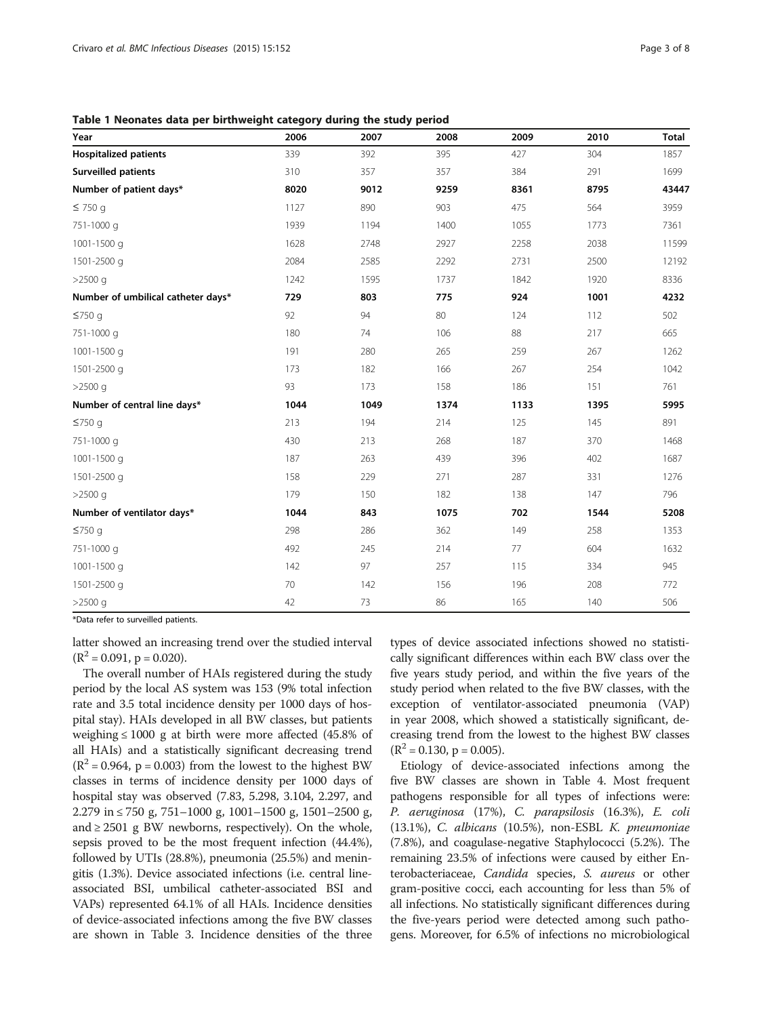<span id="page-2-0"></span>Table 1 Neonates data per birthweight category during the study period

| Year                               | 2006 | 2007 | 2008 | 2009 | 2010 | <b>Total</b> |
|------------------------------------|------|------|------|------|------|--------------|
| <b>Hospitalized patients</b>       | 339  | 392  | 395  | 427  | 304  | 1857         |
| <b>Surveilled patients</b>         | 310  | 357  | 357  | 384  | 291  | 1699         |
| Number of patient days*            | 8020 | 9012 | 9259 | 8361 | 8795 | 43447        |
| $\leq$ 750 g                       | 1127 | 890  | 903  | 475  | 564  | 3959         |
| 751-1000 g                         | 1939 | 1194 | 1400 | 1055 | 1773 | 7361         |
| 1001-1500 g                        | 1628 | 2748 | 2927 | 2258 | 2038 | 11599        |
| 1501-2500 g                        | 2084 | 2585 | 2292 | 2731 | 2500 | 12192        |
| $>2500$ q                          | 1242 | 1595 | 1737 | 1842 | 1920 | 8336         |
| Number of umbilical catheter days* | 729  | 803  | 775  | 924  | 1001 | 4232         |
| $\leq$ 750 g                       | 92   | 94   | 80   | 124  | 112  | 502          |
| 751-1000 g                         | 180  | 74   | 106  | 88   | 217  | 665          |
| 1001-1500 g                        | 191  | 280  | 265  | 259  | 267  | 1262         |
| 1501-2500 g                        | 173  | 182  | 166  | 267  | 254  | 1042         |
| $>2500$ q                          | 93   | 173  | 158  | 186  | 151  | 761          |
| Number of central line days*       | 1044 | 1049 | 1374 | 1133 | 1395 | 5995         |
| $\leq$ 750 g                       | 213  | 194  | 214  | 125  | 145  | 891          |
| 751-1000 g                         | 430  | 213  | 268  | 187  | 370  | 1468         |
| 1001-1500 g                        | 187  | 263  | 439  | 396  | 402  | 1687         |
| 1501-2500 g                        | 158  | 229  | 271  | 287  | 331  | 1276         |
| $>2500$ q                          | 179  | 150  | 182  | 138  | 147  | 796          |
| Number of ventilator days*         | 1044 | 843  | 1075 | 702  | 1544 | 5208         |
| $\leq$ 750 g                       | 298  | 286  | 362  | 149  | 258  | 1353         |
| 751-1000 g                         | 492  | 245  | 214  | 77   | 604  | 1632         |
| 1001-1500 g                        | 142  | 97   | 257  | 115  | 334  | 945          |
| 1501-2500 g                        | 70   | 142  | 156  | 196  | 208  | 772          |
| $>2500$ g                          | 42   | 73   | 86   | 165  | 140  | 506          |

\*Data refer to surveilled patients.

latter showed an increasing trend over the studied interval  $(R^2 = 0.091, p = 0.020).$ 

The overall number of HAIs registered during the study period by the local AS system was 153 (9% total infection rate and 3.5 total incidence density per 1000 days of hospital stay). HAIs developed in all BW classes, but patients weighing  $\leq 1000$  g at birth were more affected (45.8% of all HAIs) and a statistically significant decreasing trend  $(R^2 = 0.964, p = 0.003)$  from the lowest to the highest BW classes in terms of incidence density per 1000 days of hospital stay was observed (7.83, 5.298, 3.104, 2.297, and 2.279 in ≤ 750 g, 751–1000 g, 1001–1500 g, 1501–2500 g, and  $\geq$  2501 g BW newborns, respectively). On the whole, sepsis proved to be the most frequent infection (44.4%), followed by UTIs (28.8%), pneumonia (25.5%) and meningitis (1.3%). Device associated infections (i.e. central lineassociated BSI, umbilical catheter-associated BSI and VAPs) represented 64.1% of all HAIs. Incidence densities of device-associated infections among the five BW classes are shown in Table [3](#page-3-0). Incidence densities of the three

types of device associated infections showed no statistically significant differences within each BW class over the five years study period, and within the five years of the study period when related to the five BW classes, with the exception of ventilator-associated pneumonia (VAP) in year 2008, which showed a statistically significant, decreasing trend from the lowest to the highest BW classes  $(R^2 = 0.130, p = 0.005).$ 

Etiology of device-associated infections among the five BW classes are shown in Table [4](#page-4-0). Most frequent pathogens responsible for all types of infections were: P. aeruginosa (17%), C. parapsilosis (16.3%), E. coli (13.1%), C. albicans (10.5%), non-ESBL K. pneumoniae (7.8%), and coagulase-negative Staphylococci (5.2%). The remaining 23.5% of infections were caused by either Enterobacteriaceae, Candida species, S. aureus or other gram-positive cocci, each accounting for less than 5% of all infections. No statistically significant differences during the five-years period were detected among such pathogens. Moreover, for 6.5% of infections no microbiological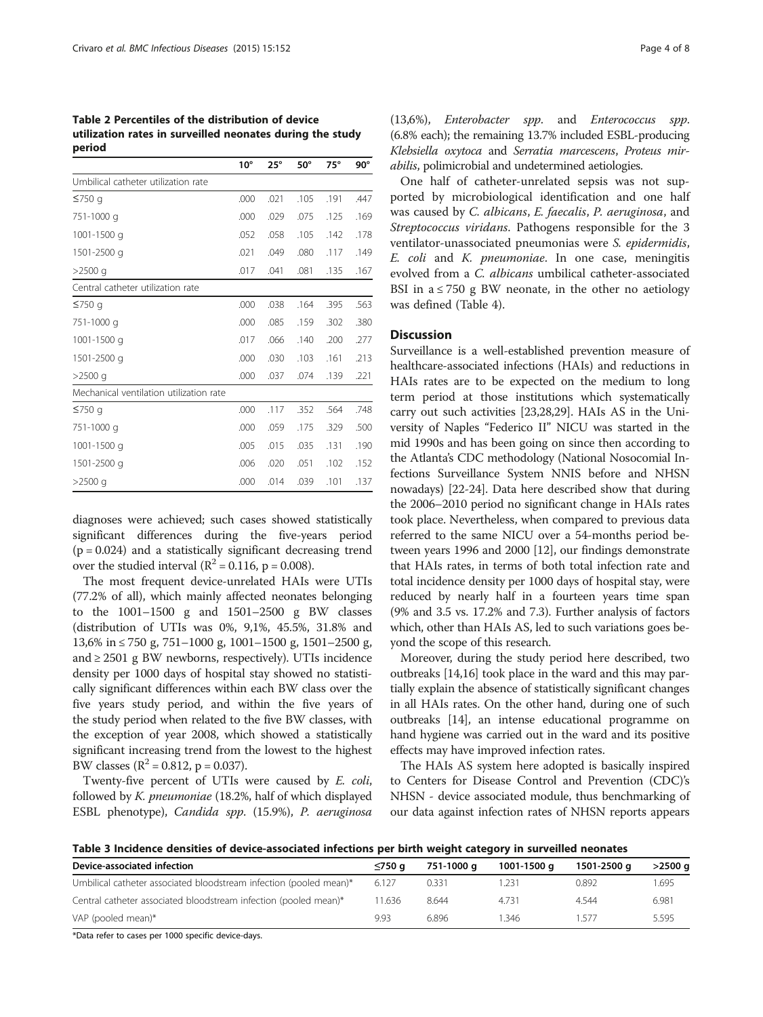<span id="page-3-0"></span>Table 2 Percentiles of the distribution of device utilization rates in surveilled neonates during the study period

|                                         | $10^{\circ}$ | $25^{\circ}$ | $50^\circ$ | $75^\circ$ | $90^\circ$ |
|-----------------------------------------|--------------|--------------|------------|------------|------------|
| Umbilical catheter utilization rate     |              |              |            |            |            |
| $≤750$ q                                | .000         | .021         | .105       | .191       | .447       |
| 751-1000 g                              | .000         | .029         | .075       | .125       | .169       |
| 1001-1500 g                             | .052         | .058         | .105       | .142       | .178       |
| 1501-2500 g                             | .021         | .049         | .080       | .117       | .149       |
| $>2500$ q                               | .017         | .041         | .081       | .135       | .167       |
| Central catheter utilization rate       |              |              |            |            |            |
| $≤750$ g                                | .000         | .038         | .164       | .395       | .563       |
| 751-1000 g                              | .000         | .085         | .159       | .302       | .380       |
| 1001-1500 g                             | .017         | .066         | .140       | .200       | .277       |
| 1501-2500 g                             | .000         | .030         | .103       | .161       | .213       |
| $>2500$ q                               | .000         | .037         | .074       | .139       | .221       |
| Mechanical ventilation utilization rate |              |              |            |            |            |
| $≤750$ g                                | .000         | .117         | .352       | .564       | .748       |
| 751-1000 g                              | .000         | .059         | .175       | .329       | .500       |
| 1001-1500 g                             | .005         | .015         | .035       | .131       | .190       |
| 1501-2500 g                             | .006         | .020         | .051       | .102       | .152       |
| $>2500$ a                               | .000         | .014         | .039       | .101       | .137       |

diagnoses were achieved; such cases showed statistically significant differences during the five-years period  $(p = 0.024)$  and a statistically significant decreasing trend over the studied interval  $(R^2 = 0.116, p = 0.008)$ .

The most frequent device-unrelated HAIs were UTIs (77.2% of all), which mainly affected neonates belonging to the 1001–1500 g and 1501–2500 g BW classes (distribution of UTIs was 0%, 9,1%, 45.5%, 31.8% and 13,6% in ≤ 750 g, 751–1000 g, 1001–1500 g, 1501–2500 g, and  $\geq$  2501 g BW newborns, respectively). UTIs incidence density per 1000 days of hospital stay showed no statistically significant differences within each BW class over the five years study period, and within the five years of the study period when related to the five BW classes, with the exception of year 2008, which showed a statistically significant increasing trend from the lowest to the highest BW classes ( $R^2 = 0.812$ ,  $p = 0.037$ ).

Twenty-five percent of UTIs were caused by E. coli, followed by K. pneumoniae (18.2%, half of which displayed ESBL phenotype), Candida spp. (15.9%), P. aeruginosa

(13,6%), Enterobacter spp. and Enterococcus spp. (6.8% each); the remaining 13.7% included ESBL-producing Klebsiella oxytoca and Serratia marcescens, Proteus mirabilis, polimicrobial and undetermined aetiologies.

One half of catheter-unrelated sepsis was not supported by microbiological identification and one half was caused by C. albicans, E. faecalis, P. aeruginosa, and Streptococcus viridans. Pathogens responsible for the 3 ventilator-unassociated pneumonias were S. epidermidis, E. coli and K. pneumoniae. In one case, meningitis evolved from a C. albicans umbilical catheter-associated BSI in  $a \le 750$  g BW neonate, in the other no aetiology was defined (Table [4\)](#page-4-0).

#### **Discussion**

Surveillance is a well-established prevention measure of healthcare-associated infections (HAIs) and reductions in HAIs rates are to be expected on the medium to long term period at those institutions which systematically carry out such activities [\[23,28,29](#page-6-0)]. HAIs AS in the University of Naples "Federico II" NICU was started in the mid 1990s and has been going on since then according to the Atlanta's CDC methodology (National Nosocomial Infections Surveillance System NNIS before and NHSN nowadays) [\[22-24\]](#page-6-0). Data here described show that during the 2006–2010 period no significant change in HAIs rates took place. Nevertheless, when compared to previous data referred to the same NICU over a 54-months period between years 1996 and 2000 [[12](#page-6-0)], our findings demonstrate that HAIs rates, in terms of both total infection rate and total incidence density per 1000 days of hospital stay, were reduced by nearly half in a fourteen years time span (9% and 3.5 vs. 17.2% and 7.3). Further analysis of factors which, other than HAIs AS, led to such variations goes beyond the scope of this research.

Moreover, during the study period here described, two outbreaks [\[14,16\]](#page-6-0) took place in the ward and this may partially explain the absence of statistically significant changes in all HAIs rates. On the other hand, during one of such outbreaks [[14](#page-6-0)], an intense educational programme on hand hygiene was carried out in the ward and its positive effects may have improved infection rates.

The HAIs AS system here adopted is basically inspired to Centers for Disease Control and Prevention (CDC)'s NHSN - device associated module, thus benchmarking of our data against infection rates of NHSN reports appears

Table 3 Incidence densities of device-associated infections per birth weight category in surveilled neonates

| Device-associated infection                                        | ≪750 a | 751-1000 a | 1001-1500 a | 1501-2500 a | $>2500$ a |
|--------------------------------------------------------------------|--------|------------|-------------|-------------|-----------|
| Umbilical catheter associated bloodstream infection (pooled mean)* | 6.127  | 0.331      | 1.231       | 0.892       | .695      |
| Central catheter associated bloodstream infection (pooled mean)*   | 11.636 | 8.644      | 4731        | 4.544       | 6.981     |
| VAP (pooled mean)*                                                 | 9.93   | 6.896      | 346         | . 577       | 5.595     |

\*Data refer to cases per 1000 specific device-days.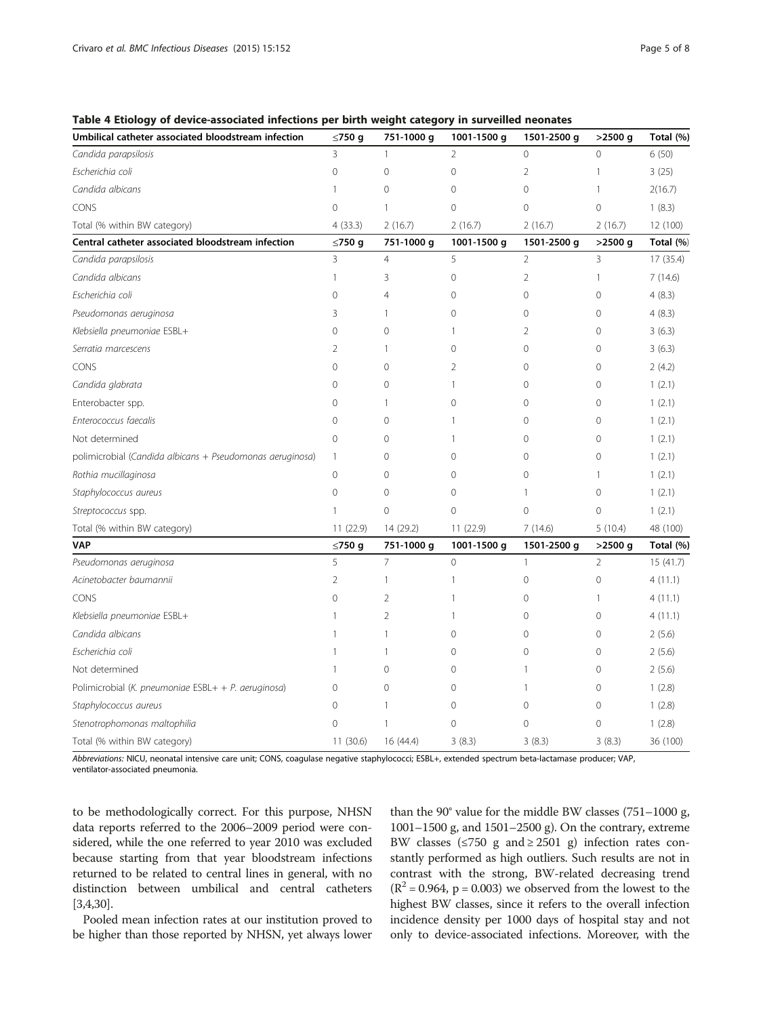| Umbilical catheter associated bloodstream infection       | ≤750 g         | 751-1000 g     | 1001-1500 g    | 1501-2500 g    | $>2500$ g      | Total (%) |
|-----------------------------------------------------------|----------------|----------------|----------------|----------------|----------------|-----------|
| Candida parapsilosis                                      | 3              | $\mathbf{1}$   | $\overline{2}$ | $\overline{0}$ | $\Omega$       | 6(50)     |
| Escherichia coli                                          | 0              | 0              | 0              | $\overline{2}$ | 1              | 3(25)     |
| Candida albicans                                          | 1              | 0              | 0              | $\overline{0}$ | 1              | 2(16.7)   |
| CONS                                                      | 0              | 1              | 0              | $\overline{0}$ | $\overline{0}$ | 1(8.3)    |
| Total (% within BW category)                              | 4(33.3)        | 2(16.7)        | 2(16.7)        | 2(16.7)        | 2(16.7)        | 12 (100)  |
| Central catheter associated bloodstream infection         | ≤750 g         | 751-1000 g     | 1001-1500 g    | 1501-2500 g    | >2500 g        | Total (%) |
| Candida parapsilosis                                      | 3              | $\overline{4}$ | 5              | $\overline{2}$ | 3              | 17 (35.4) |
| Candida albicans                                          | 1              | 3              | 0              | $\overline{2}$ | 1              | 7(14.6)   |
| Escherichia coli                                          | 0              | 4              | 0              | $\mathbf 0$    | 0              | 4(8.3)    |
| Pseudomonas aeruginosa                                    | 3              | 1              | 0              | 0              | $\Omega$       | 4(8.3)    |
| Klebsiella pneumoniae ESBL+                               | 0              | 0              | 1              | 2              | $\Omega$       | 3(6.3)    |
| Serratia marcescens                                       | 2              | 1              | 0              | 0              | 0              | 3(6.3)    |
| CONS                                                      | 0              | 0              | 2              | 0              | 0              | 2(4.2)    |
| Candida glabrata                                          | 0              | 0              | $\mathbf{1}$   | 0              | 0              | 1(2.1)    |
| Enterobacter spp.                                         | $\Omega$       | 1              | 0              | $\Omega$       | $\Omega$       | 1(2.1)    |
| Enterococcus faecalis                                     | 0              | 0              | $\mathbf{1}$   | 0              | 0              | 1(2.1)    |
| Not determined                                            | $\Omega$       | 0              | 1              | $\Omega$       | $\Omega$       | 1(2.1)    |
| polimicrobial (Candida albicans + Pseudomonas aeruginosa) | $\mathbf{1}$   | 0              | 0              | $\circ$        | $\mathbf 0$    | 1(2.1)    |
| Rothia mucillaginosa                                      | 0              | 0              | 0              | $\circ$        | 1              | 1(2.1)    |
| Staphylococcus aureus                                     | $\overline{0}$ | 0              | $\mathbf 0$    | 1              | $\mathbf 0$    | 1(2.1)    |
| Streptococcus spp.                                        | 1              | 0              | 0              | $\overline{0}$ | 0              | 1(2.1)    |
| Total (% within BW category)                              | 11 (22.9)      | 14 (29.2)      | 11 (22.9)      | 7(14.6)        | 5(10.4)        | 48 (100)  |
| <b>VAP</b>                                                | ≤750 g         | 751-1000 g     | 1001-1500 g    | 1501-2500 g    | $>2500$ g      | Total (%) |
| Pseudomonas aeruginosa                                    | 5              | 7              | $\mathbf 0$    | $\mathbf{1}$   | $\overline{2}$ | 15(41.7)  |
| Acinetobacter baumannii                                   | $\overline{2}$ | 1              | 1              | $\mathbf 0$    | $\overline{0}$ | 4(11.1)   |
| CONS                                                      | 0              | $\overline{2}$ | 1              | 0              | 1              | 4(11.1)   |
| Klebsiella pneumoniae ESBL+                               | 1              | $\overline{2}$ | $\mathbf{1}$   | 0              | 0              | 4(11.1)   |
| Candida albicans                                          |                | 1              | 0              | 0              | 0              | 2(5.6)    |
| Escherichia coli                                          | 1              | 1              | 0              | 0              | 0              | 2(5.6)    |
| Not determined                                            | 1              | 0              | 0              | 1              | $\Omega$       | 2(5.6)    |
| Polimicrobial (K. pneumoniae ESBL+ + P. aeruginosa)       | $\Omega$       | 0              | 0              | 1              | $\Omega$       | 1(2.8)    |
| Staphylococcus aureus                                     | $\Omega$       | 1              | 0              | $\circ$        | 0              | 1(2.8)    |
| Stenotrophomonas maltophilia                              | 0              | 1              | 0              | 0              | $\overline{0}$ | 1(2.8)    |
| Total (% within BW category)                              | 11(30.6)       | 16 (44.4)      | 3(8.3)         | 3(8.3)         | 3(8.3)         | 36 (100)  |

<span id="page-4-0"></span>Table 4 Etiology of device-associated infections per birth weight category in surveilled neonates

Abbreviations: NICU, neonatal intensive care unit; CONS, coagulase negative staphylococci; ESBL+, extended spectrum beta-lactamase producer; VAP, ventilator-associated pneumonia.

to be methodologically correct. For this purpose, NHSN data reports referred to the 2006–2009 period were considered, while the one referred to year 2010 was excluded because starting from that year bloodstream infections returned to be related to central lines in general, with no distinction between umbilical and central catheters [[3,4,30](#page-6-0)].

Pooled mean infection rates at our institution proved to be higher than those reported by NHSN, yet always lower

than the 90° value for the middle BW classes (751–1000 g, 1001–1500 g, and 1501–2500 g). On the contrary, extreme BW classes ( $\leq$ 750 g and  $\geq$  2501 g) infection rates constantly performed as high outliers. Such results are not in contrast with the strong, BW-related decreasing trend  $(R^2 = 0.964, p = 0.003)$  we observed from the lowest to the highest BW classes, since it refers to the overall infection incidence density per 1000 days of hospital stay and not only to device-associated infections. Moreover, with the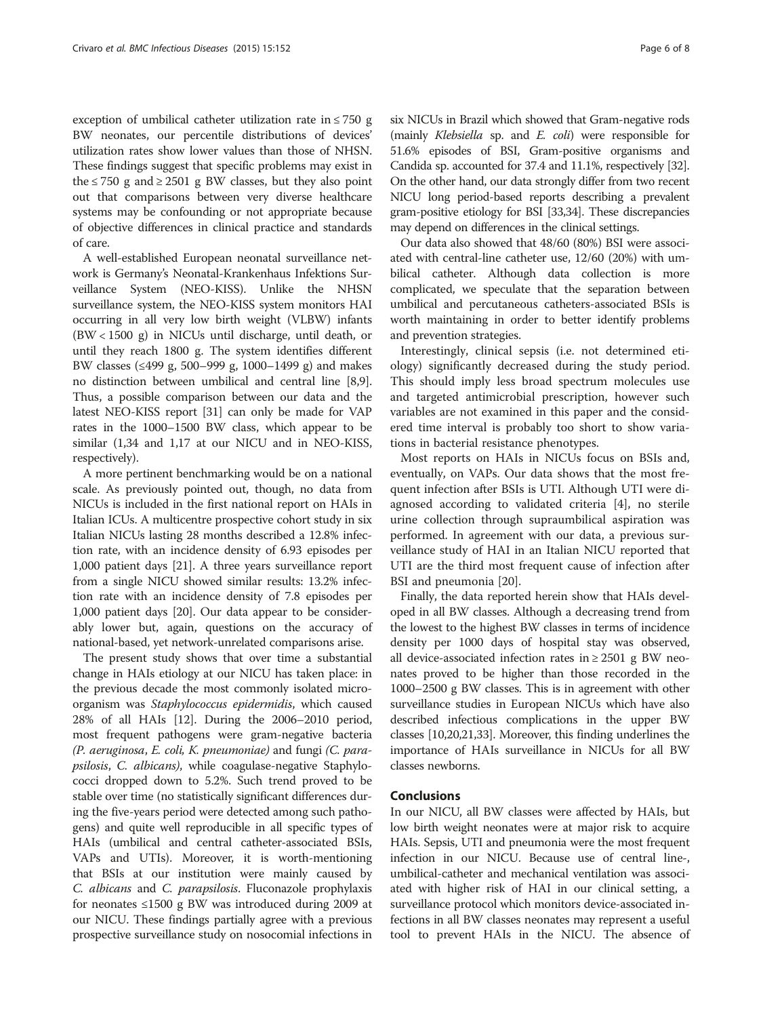exception of umbilical catheter utilization rate in  $\leq$  750 g BW neonates, our percentile distributions of devices' utilization rates show lower values than those of NHSN. These findings suggest that specific problems may exist in the  $\leq$  750 g and  $\geq$  2501 g BW classes, but they also point out that comparisons between very diverse healthcare systems may be confounding or not appropriate because of objective differences in clinical practice and standards of care.

A well-established European neonatal surveillance network is Germany's Neonatal-Krankenhaus Infektions Surveillance System (NEO-KISS). Unlike the NHSN surveillance system, the NEO-KISS system monitors HAI occurring in all very low birth weight (VLBW) infants (BW < 1500 g) in NICUs until discharge, until death, or until they reach 1800 g. The system identifies different BW classes (≤499 g, 500–999 g, 1000–1499 g) and makes no distinction between umbilical and central line [[8](#page-6-0),[9](#page-6-0)]. Thus, a possible comparison between our data and the latest NEO-KISS report [\[31\]](#page-7-0) can only be made for VAP rates in the 1000–1500 BW class, which appear to be similar (1,34 and 1,17 at our NICU and in NEO-KISS, respectively).

A more pertinent benchmarking would be on a national scale. As previously pointed out, though, no data from NICUs is included in the first national report on HAIs in Italian ICUs. A multicentre prospective cohort study in six Italian NICUs lasting 28 months described a 12.8% infection rate, with an incidence density of 6.93 episodes per 1,000 patient days [\[21](#page-6-0)]. A three years surveillance report from a single NICU showed similar results: 13.2% infection rate with an incidence density of 7.8 episodes per 1,000 patient days [[20](#page-6-0)]. Our data appear to be considerably lower but, again, questions on the accuracy of national-based, yet network-unrelated comparisons arise.

The present study shows that over time a substantial change in HAIs etiology at our NICU has taken place: in the previous decade the most commonly isolated microorganism was Staphylococcus epidermidis, which caused 28% of all HAIs [[12](#page-6-0)]. During the 2006–2010 period, most frequent pathogens were gram-negative bacteria (P. aeruginosa, E. coli, K. pneumoniae) and fungi (C. parapsilosis, C. albicans), while coagulase-negative Staphylococci dropped down to 5.2%. Such trend proved to be stable over time (no statistically significant differences during the five-years period were detected among such pathogens) and quite well reproducible in all specific types of HAIs (umbilical and central catheter-associated BSIs, VAPs and UTIs). Moreover, it is worth-mentioning that BSIs at our institution were mainly caused by C. albicans and C. parapsilosis. Fluconazole prophylaxis for neonates  $\leq 1500$  g BW was introduced during 2009 at our NICU. These findings partially agree with a previous prospective surveillance study on nosocomial infections in

six NICUs in Brazil which showed that Gram-negative rods (mainly Klebsiella sp. and E. coli) were responsible for 51.6% episodes of BSI, Gram-positive organisms and Candida sp. accounted for 37.4 and 11.1%, respectively [\[32](#page-7-0)]. On the other hand, our data strongly differ from two recent NICU long period-based reports describing a prevalent gram-positive etiology for BSI [\[33,34](#page-7-0)]. These discrepancies may depend on differences in the clinical settings.

Our data also showed that 48/60 (80%) BSI were associated with central-line catheter use, 12/60 (20%) with umbilical catheter. Although data collection is more complicated, we speculate that the separation between umbilical and percutaneous catheters-associated BSIs is worth maintaining in order to better identify problems and prevention strategies.

Interestingly, clinical sepsis (i.e. not determined etiology) significantly decreased during the study period. This should imply less broad spectrum molecules use and targeted antimicrobial prescription, however such variables are not examined in this paper and the considered time interval is probably too short to show variations in bacterial resistance phenotypes.

Most reports on HAIs in NICUs focus on BSIs and, eventually, on VAPs. Our data shows that the most frequent infection after BSIs is UTI. Although UTI were diagnosed according to validated criteria [\[4](#page-6-0)], no sterile urine collection through supraumbilical aspiration was performed. In agreement with our data, a previous surveillance study of HAI in an Italian NICU reported that UTI are the third most frequent cause of infection after BSI and pneumonia [[20\]](#page-6-0).

Finally, the data reported herein show that HAIs developed in all BW classes. Although a decreasing trend from the lowest to the highest BW classes in terms of incidence density per 1000 days of hospital stay was observed, all device-associated infection rates in  $\geq 2501$  g BW neonates proved to be higher than those recorded in the 1000–2500 g BW classes. This is in agreement with other surveillance studies in European NICUs which have also described infectious complications in the upper BW classes [\[10,20,21](#page-6-0)[,33\]](#page-7-0). Moreover, this finding underlines the importance of HAIs surveillance in NICUs for all BW classes newborns.

### Conclusions

In our NICU, all BW classes were affected by HAIs, but low birth weight neonates were at major risk to acquire HAIs. Sepsis, UTI and pneumonia were the most frequent infection in our NICU. Because use of central line-, umbilical-catheter and mechanical ventilation was associated with higher risk of HAI in our clinical setting, a surveillance protocol which monitors device-associated infections in all BW classes neonates may represent a useful tool to prevent HAIs in the NICU. The absence of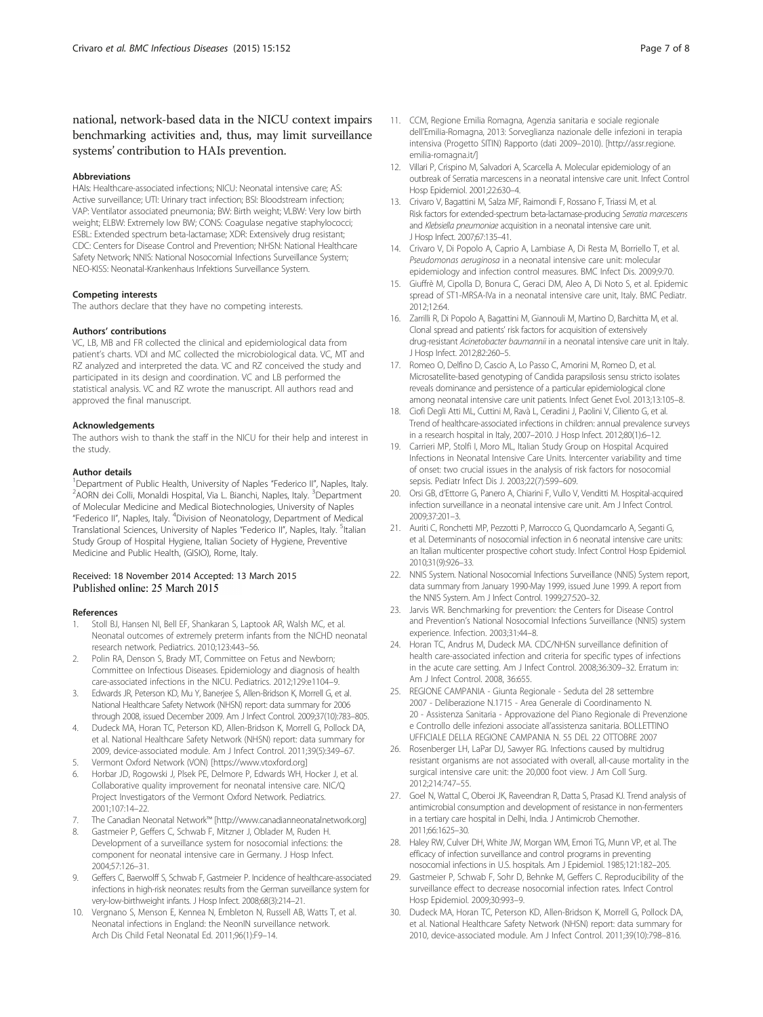<span id="page-6-0"></span>national, network-based data in the NICU context impairs benchmarking activities and, thus, may limit surveillance systems' contribution to HAIs prevention.

#### Abbreviations

HAIs: Healthcare-associated infections; NICU: Neonatal intensive care; AS: Active surveillance; UTI: Urinary tract infection; BSI: Bloodstream infection; VAP: Ventilator associated pneumonia; BW: Birth weight; VLBW: Very low birth weight; ELBW: Extremely low BW; CONS: Coagulase negative staphylococci; ESBL: Extended spectrum beta-lactamase; XDR: Extensively drug resistant; CDC: Centers for Disease Control and Prevention; NHSN: National Healthcare Safety Network; NNIS: National Nosocomial Infections Surveillance System; NEO-KISS: Neonatal-Krankenhaus Infektions Surveillance System.

#### Competing interests

The authors declare that they have no competing interests.

#### Authors' contributions

VC, LB, MB and FR collected the clinical and epidemiological data from patient's charts. VDI and MC collected the microbiological data. VC, MT and RZ analyzed and interpreted the data. VC and RZ conceived the study and participated in its design and coordination. VC and LB performed the statistical analysis. VC and RZ wrote the manuscript. All authors read and approved the final manuscript.

#### Acknowledgements

The authors wish to thank the staff in the NICU for their help and interest in the study.

#### Author details

<sup>1</sup> Department of Public Health, University of Naples "Federico II", Naples, Italy.<br><sup>2</sup> AORN dei Colli, Monaldi Hospital, Via L. Bianchi, Naples, Italy. <sup>3</sup> Department AORN dei Colli, Monaldi Hospital, Via L. Bianchi, Naples, Italy. <sup>3</sup>Department of Molecular Medicine and Medical Biotechnologies, University of Naples "Federico II", Naples, Italy. <sup>4</sup>Division of Neonatology, Department of Medical Translational Sciences, University of Naples "Federico II", Naples, Italy. <sup>5</sup>Italian Study Group of Hospital Hygiene, Italian Society of Hygiene, Preventive Medicine and Public Health, (GISIO), Rome, Italy.

# Received: 18 November 2014 Accepted: 13 March 2015

#### References

- 1. Stoll BJ, Hansen NI, Bell EF, Shankaran S, Laptook AR, Walsh MC, et al. Neonatal outcomes of extremely preterm infants from the NICHD neonatal research network. Pediatrics. 2010;123:443–56.
- Polin RA, Denson S, Brady MT, Committee on Fetus and Newborn; Committee on Infectious Diseases. Epidemiology and diagnosis of health care-associated infections in the NICU. Pediatrics. 2012;129:e1104–9.
- 3. Edwards JR, Peterson KD, Mu Y, Banerjee S, Allen-Bridson K, Morrell G, et al. National Healthcare Safety Network (NHSN) report: data summary for 2006 through 2008, issued December 2009. Am J Infect Control. 2009;37(10):783–805.
- 4. Dudeck MA, Horan TC, Peterson KD, Allen-Bridson K, Morrell G, Pollock DA, et al. National Healthcare Safety Network (NHSN) report: data summary for 2009, device-associated module. Am J Infect Control. 2011;39(5):349–67.
- 5. Vermont Oxford Network (VON) [[https://www.vtoxford.org](https://www.vtoxford.org/)]
- 6. Horbar JD, Rogowski J, Plsek PE, Delmore P, Edwards WH, Hocker J, et al. Collaborative quality improvement for neonatal intensive care. NIC/Q Project Investigators of the Vermont Oxford Network. Pediatrics. 2001;107:14–22.
- The Canadian Neonatal Network™ [\[http://www.canadianneonatalnetwork.org\]](http://www.canadianneonatalnetwork.org/)
- 8. Gastmeier P, Geffers C, Schwab F, Mitzner J, Oblader M, Ruden H. Development of a surveillance system for nosocomial infections: the component for neonatal intensive care in Germany. J Hosp Infect. 2004;57:126–31.
- 9. Geffers C, Baerwolff S, Schwab F, Gastmeier P. Incidence of healthcare-associated infections in high-risk neonates: results from the German surveillance system for very-low-birthweight infants. J Hosp Infect. 2008;68(3):214–21.
- 10. Vergnano S, Menson E, Kennea N, Embleton N, Russell AB, Watts T, et al. Neonatal infections in England: the NeonIN surveillance network. Arch Dis Child Fetal Neonatal Ed. 2011;96(1):F9–14.
- 11. CCM, Regione Emilia Romagna, Agenzia sanitaria e sociale regionale dell'Emilia-Romagna, 2013: Sorveglianza nazionale delle infezioni in terapia intensiva (Progetto SITIN) Rapporto (dati 2009–2010). [[http://assr.regione.](http://assr.regione.emilia-romagna.it/) [emilia-romagna.it/\]](http://assr.regione.emilia-romagna.it/)
- 12. Villari P, Crispino M, Salvadori A, Scarcella A. Molecular epidemiology of an outbreak of Serratia marcescens in a neonatal intensive care unit. Infect Control Hosp Epidemiol. 2001;22:630–4.
- 13. Crivaro V, Bagattini M, Salza MF, Raimondi F, Rossano F, Triassi M, et al. Risk factors for extended-spectrum beta-lactamase-producing Serratia marcescens and Klebsiella pneumoniae acquisition in a neonatal intensive care unit. J Hosp Infect. 2007;67:135–41.
- 14. Crivaro V, Di Popolo A, Caprio A, Lambiase A, Di Resta M, Borriello T, et al. Pseudomonas aeruginosa in a neonatal intensive care unit: molecular epidemiology and infection control measures. BMC Infect Dis. 2009;9:70.
- 15. Giuffrè M, Cipolla D, Bonura C, Geraci DM, Aleo A, Di Noto S, et al. Epidemic spread of ST1-MRSA-IVa in a neonatal intensive care unit, Italy. BMC Pediatr. 2012;12:64.
- 16. Zarrilli R, Di Popolo A, Bagattini M, Giannouli M, Martino D, Barchitta M, et al. Clonal spread and patients' risk factors for acquisition of extensively drug-resistant Acinetobacter baumannii in a neonatal intensive care unit in Italy. J Hosp Infect. 2012;82:260–5.
- 17. Romeo O, Delfino D, Cascio A, Lo Passo C, Amorini M, Romeo D, et al. Microsatellite-based genotyping of Candida parapsilosis sensu stricto isolates reveals dominance and persistence of a particular epidemiological clone among neonatal intensive care unit patients. Infect Genet Evol. 2013;13:105–8.
- 18. Ciofi Degli Atti ML, Cuttini M, Ravà L, Ceradini J, Paolini V, Ciliento G, et al. Trend of healthcare-associated infections in children: annual prevalence surveys in a research hospital in Italy, 2007–2010. J Hosp Infect. 2012;80(1):6–12.
- 19. Carrieri MP, Stolfi I, Moro ML, Italian Study Group on Hospital Acquired Infections in Neonatal Intensive Care Units. Intercenter variability and time of onset: two crucial issues in the analysis of risk factors for nosocomial sepsis. Pediatr Infect Dis J. 2003;22(7):599–609.
- 20. Orsi GB, d'Ettorre G, Panero A, Chiarini F, Vullo V, Venditti M. Hospital-acquired infection surveillance in a neonatal intensive care unit. Am J Infect Control. 2009;37:201–3.
- 21. Auriti C, Ronchetti MP, Pezzotti P, Marrocco G, Quondamcarlo A, Seganti G, et al. Determinants of nosocomial infection in 6 neonatal intensive care units: an Italian multicenter prospective cohort study. Infect Control Hosp Epidemiol. 2010;31(9):926–33.
- 22. NNIS System. National Nosocomial Infections Surveillance (NNIS) System report, data summary from January 1990-May 1999, issued June 1999. A report from the NNIS System. Am J Infect Control. 1999;27:520–32.
- 23. Jarvis WR. Benchmarking for prevention: the Centers for Disease Control and Prevention's National Nosocomial Infections Surveillance (NNIS) system experience. Infection. 2003;31:44–8.
- 24. Horan TC, Andrus M, Dudeck MA. CDC/NHSN surveillance definition of health care-associated infection and criteria for specific types of infections in the acute care setting. Am J Infect Control. 2008;36:309–32. Erratum in: Am J Infect Control. 2008, 36:655.
- 25. REGIONE CAMPANIA Giunta Regionale Seduta del 28 settembre 2007 - Deliberazione N.1715 - Area Generale di Coordinamento N. 20 - Assistenza Sanitaria - Approvazione del Piano Regionale di Prevenzione e Controllo delle infezioni associate all'assistenza sanitaria. BOLLETTINO UFFICIALE DELLA REGIONE CAMPANIA N. 55 DEL 22 OTTOBRE 2007
- 26. Rosenberger LH, LaPar DJ, Sawyer RG. Infections caused by multidrug resistant organisms are not associated with overall, all-cause mortality in the surgical intensive care unit: the 20,000 foot view. J Am Coll Surg. 2012;214:747–55.
- 27. Goel N, Wattal C, Oberoi JK, Raveendran R, Datta S, Prasad KJ. Trend analysis of antimicrobial consumption and development of resistance in non-fermenters in a tertiary care hospital in Delhi, India. J Antimicrob Chemother. 2011;66:1625–30.
- 28. Haley RW, Culver DH, White JW, Morgan WM, Emori TG, Munn VP, et al. The efficacy of infection surveillance and control programs in preventing nosocomial infections in U.S. hospitals. Am J Epidemiol. 1985;121:182–205.
- 29. Gastmeier P, Schwab F, Sohr D, Behnke M, Geffers C. Reproducibility of the surveillance effect to decrease nosocomial infection rates. Infect Control Hosp Epidemiol. 2009;30:993–9.
- 30. Dudeck MA, Horan TC, Peterson KD, Allen-Bridson K, Morrell G, Pollock DA, et al. National Healthcare Safety Network (NHSN) report: data summary for 2010, device-associated module. Am J Infect Control. 2011;39(10):798–816.